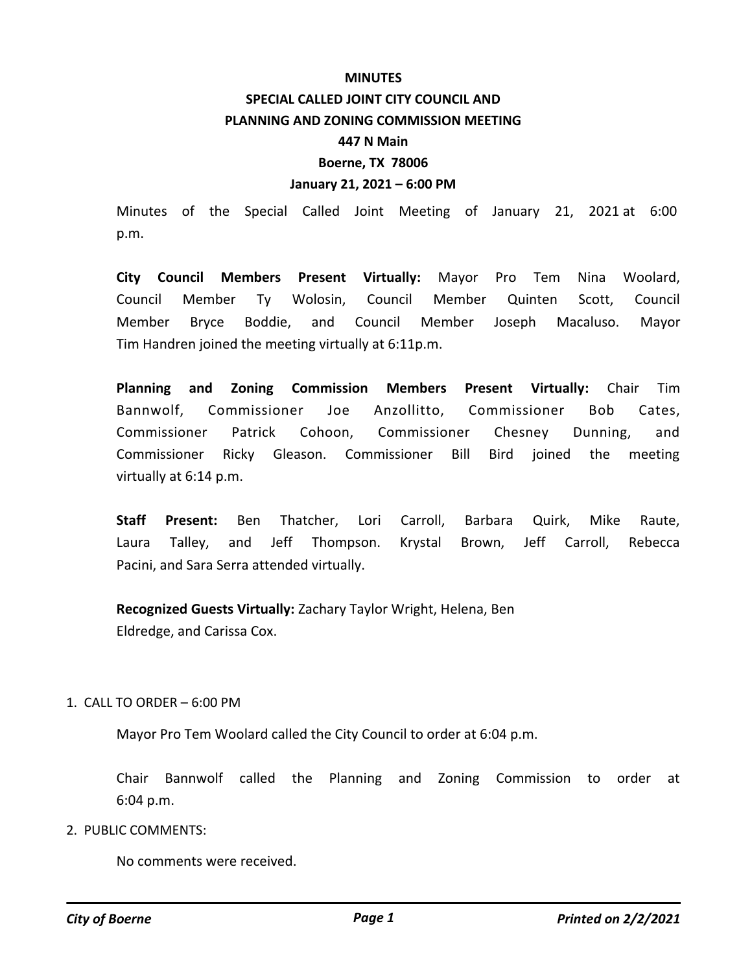## **MINUTES SPECIAL CALLED JOINT CITY COUNCIL AND PLANNING AND ZONING COMMISSION MEETING 447 N Main Boerne, TX 78006 January 21, 2021 – 6:00 PM**

Minutes of the Special Called Joint Meeting of January 21, 2021 at 6:00 p.m.

**City Council Members Present Virtually:** Mayor Pro Tem Nina Woolard, Council Member Ty Wolosin, Council Member Quinten Scott, Council Member Bryce Boddie, and Council Member Joseph Macaluso. Mayor Tim Handren joined the meeting virtually at 6:11p.m.

**Planning and Zoning Commission Members Present Virtually:** Chair Tim Bannwolf, Commissioner Joe Anzollitto, Commissioner Bob Cates, Commissioner Patrick Cohoon, Commissioner Chesney Dunning, and Commissioner Ricky Gleason. Commissioner Bill Bird joined the meeting virtually at 6:14 p.m.

**Staff Present:** Ben Thatcher, Lori Carroll, Barbara Quirk, Mike Raute, Laura Talley, and Jeff Thompson. Krystal Brown, Jeff Carroll, Rebecca Pacini, and Sara Serra attended virtually.

**Recognized Guests Virtually:** Zachary Taylor Wright, Helena, Ben Eldredge, and Carissa Cox.

## 1. CALL TO ORDER – 6:00 PM

Mayor Pro Tem Woolard called the City Council to order at 6:04 p.m.

Chair Bannwolf called the Planning and Zoning Commission to order at 6:04 p.m.

2. PUBLIC COMMENTS:

No comments were received.